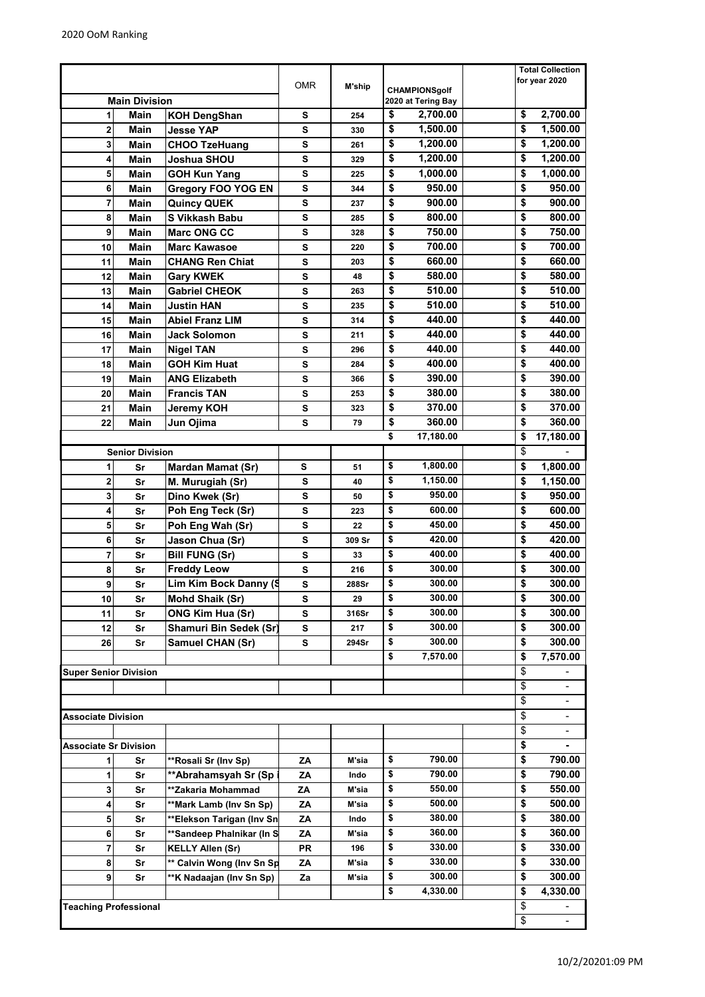|                                         |                        |                           |            |        |                                                | <b>Total Collection</b>            |
|-----------------------------------------|------------------------|---------------------------|------------|--------|------------------------------------------------|------------------------------------|
|                                         |                        |                           | <b>OMR</b> | M'ship | <b>CHAMPIONSgolf</b>                           | for year 2020                      |
| <b>Main Division</b>                    |                        |                           |            |        | 2020 at Tering Bay                             |                                    |
| <b>Main</b><br>1<br><b>KOH DengShan</b> |                        |                           | s          | 254    | \$<br>2,700.00                                 | \$<br>2,700.00                     |
| 2                                       | <b>Main</b>            | <b>Jesse YAP</b>          | S          | 330    | \$<br>1,500.00                                 | \$<br>1,500.00                     |
| 3                                       | <b>Main</b>            | <b>CHOO TzeHuang</b>      | S          | 261    | \$<br>1,200.00                                 | \$<br>1,200.00                     |
| 4                                       | Main                   | Joshua SHOU               | S          | 329    | \$<br>1,200.00                                 | \$<br>1,200.00                     |
| 5                                       | Main                   | <b>GOH Kun Yang</b>       | S          | 225    | \$<br>1,000.00                                 | \$<br>1,000.00                     |
| 6                                       | Main                   | <b>Gregory FOO YOG EN</b> | S          | 344    | \$<br>950.00                                   | \$<br>950.00                       |
| 7                                       | Main                   | <b>Quincy QUEK</b>        | s          | 237    | \$<br>900.00                                   | \$<br>900.00                       |
| 8                                       | Main                   | S Vikkash Babu            | S          | 285    | \$<br>800.00                                   | \$<br>800.00                       |
| 9                                       | Main                   | <b>Marc ONG CC</b>        | s          | 328    | \$<br>750.00                                   | \$<br>750.00                       |
| 10                                      | Main                   | <b>Marc Kawasoe</b>       | S          | 220    | \$<br>700.00                                   | \$<br>700.00                       |
| 11                                      | Main                   | <b>CHANG Ren Chiat</b>    | S          | 203    | \$<br>660.00                                   | \$<br>660.00                       |
| 12                                      |                        |                           | S          |        | \$<br>580.00                                   | \$<br>580.00                       |
|                                         | Main                   | <b>Gary KWEK</b>          |            | 48     | \$<br>510.00                                   | \$                                 |
| 13                                      | Main                   | <b>Gabriel CHEOK</b>      | S          | 263    |                                                | 510.00                             |
| 14                                      | Main                   | <b>Justin HAN</b>         | S          | 235    | \$<br>510.00                                   | \$<br>510.00                       |
| 15                                      | Main                   | <b>Abiel Franz LIM</b>    | s          | 314    | \$<br>440.00                                   | \$<br>440.00                       |
| 16                                      | <b>Main</b>            | <b>Jack Solomon</b>       | S          | 211    | \$<br>440.00                                   | \$<br>440.00                       |
| 17                                      | Main                   | <b>Nigel TAN</b>          | S          | 296    | \$<br>440.00                                   | \$<br>440.00                       |
| 18                                      | <b>Main</b>            | <b>GOH Kim Huat</b>       | S          | 284    | \$<br>400.00                                   | \$<br>400.00                       |
| 19                                      | <b>Main</b>            | <b>ANG Elizabeth</b>      | S          | 366    | \$<br>390.00                                   | \$<br>390.00                       |
| 20                                      | Main                   | <b>Francis TAN</b>        | S          | 253    | $\overline{\boldsymbol{\mathsf{s}}}$<br>380.00 | \$<br>380.00                       |
| 21                                      | Main                   | <b>Jeremy KOH</b>         | S          | 323    | \$<br>370.00                                   | \$<br>370.00                       |
| 22                                      | Main                   | Jun Ojima                 | s          | 79     | \$<br>360.00                                   | \$<br>360.00                       |
|                                         |                        |                           |            |        | \$<br>17,180.00                                | \$<br>17,180.00                    |
|                                         | <b>Senior Division</b> |                           |            |        |                                                | \$                                 |
| 1                                       | Sr                     | <b>Mardan Mamat (Sr)</b>  | S          | 51     | \$<br>1,800.00                                 | \$<br>1,800.00                     |
| 2                                       | Sr                     | M. Murugiah (Sr)          | S          | 40     | \$<br>1,150.00                                 | \$<br>1,150.00                     |
| 3                                       | Sr                     | Dino Kwek (Sr)            | S          | 50     | \$<br>950.00                                   | \$<br>950.00                       |
| 4                                       | Sr                     | Poh Eng Teck (Sr)         | S          | 223    | \$<br>600.00                                   | \$<br>600.00                       |
| 5                                       | Sr                     | Poh Eng Wah (Sr)          | s          | 22     | \$<br>450.00                                   | \$<br>450.00                       |
| 6                                       | Sr                     | Jason Chua (Sr)           | S          | 309 Sr | \$<br>420.00                                   | \$<br>420.00                       |
| 7                                       | Sr                     | <b>Bill FUNG (Sr)</b>     | s          | 33     | \$<br>400.00                                   | \$<br>400.00                       |
| 8                                       | Sr                     | <b>Freddy Leow</b>        | S          | 216    | \$<br>300.00                                   | \$<br>300.00                       |
| 9                                       | Sr                     | Lim Kim Bock Danny (S     | S          | 288Sr  | \$<br>300.00                                   | \$<br>300.00                       |
| 10                                      | Sr                     | Mohd Shaik (Sr)           | s          | 29     | \$<br>300.00                                   | \$<br>300.00                       |
| 11                                      | Sr                     | <b>ONG Kim Hua (Sr)</b>   | s          | 316Sr  | \$<br>300.00                                   | \$<br>300.00                       |
| 12                                      | Sr                     | Shamuri Bin Sedek (Sr)    | s          | 217    | \$<br>300.00                                   | \$<br>300.00                       |
| 26                                      | Sr                     | Samuel CHAN (Sr)          | s          | 294Sr  | \$<br>300.00                                   | \$<br>300.00                       |
|                                         |                        |                           |            |        | \$<br>7,570.00                                 | \$<br>7,570.00                     |
| <b>Super Senior Division</b>            |                        |                           |            |        |                                                | \$                                 |
|                                         |                        |                           |            |        |                                                | $\overline{\mathbf{3}}$            |
|                                         |                        |                           |            |        |                                                | \$                                 |
| <b>Associate Division</b>               |                        |                           |            |        |                                                | \$                                 |
|                                         |                        |                           |            |        |                                                | $\overline{\boldsymbol{\epsilon}}$ |
| Associate Sr Division                   |                        |                           |            |        |                                                | \$                                 |
|                                         |                        |                           |            |        | \$<br>790.00                                   | \$<br>790.00                       |
|                                         | Sr                     | **Rosali Sr (Inv Sp)      | ΖA         | M'sia  | \$                                             |                                    |
| 1                                       | Sr                     | **Abrahamsyah Sr (Sp      | ΖA         | Indo   | 790.00<br>550.00                               | \$<br>790.00<br>\$                 |
| 3                                       | Sr                     | **Zakaria Mohammad        | ΖA         | M'sia  | \$<br>\$                                       | 550.00                             |
| 4                                       | Sr                     | **Mark Lamb (Inv Sn Sp)   | ZA         | M'sia  | 500.00                                         | \$<br>500.00                       |
| 5                                       | Sr                     | **Elekson Tarigan (Inv Sn | ΖA         | Indo   | \$<br>380.00                                   | \$<br>380.00                       |
| 6                                       | Sr                     | **Sandeep Phalnikar (In S | ΖA         | M'sia  | \$<br>360.00                                   | \$<br>360.00                       |
| 7                                       | Sr                     | <b>KELLY Allen (Sr)</b>   | PR         | 196    | \$<br>330.00                                   | \$<br>330.00                       |
| 8                                       | Sr                     | ** Calvin Wong (Inv Sn Sp | ΖA         | M'sia  | \$<br>330.00                                   | \$<br>330.00                       |
| 9                                       | Sr                     | **K Nadaajan (Inv Sn Sp)  | Za         | M'sia  | \$<br>300.00                                   | \$<br>300.00                       |
|                                         |                        |                           |            |        | \$<br>4,330.00                                 | \$<br>4,330.00                     |
| <b>Teaching Professional</b>            |                        |                           |            |        |                                                | \$                                 |
|                                         |                        |                           |            |        |                                                | \$                                 |